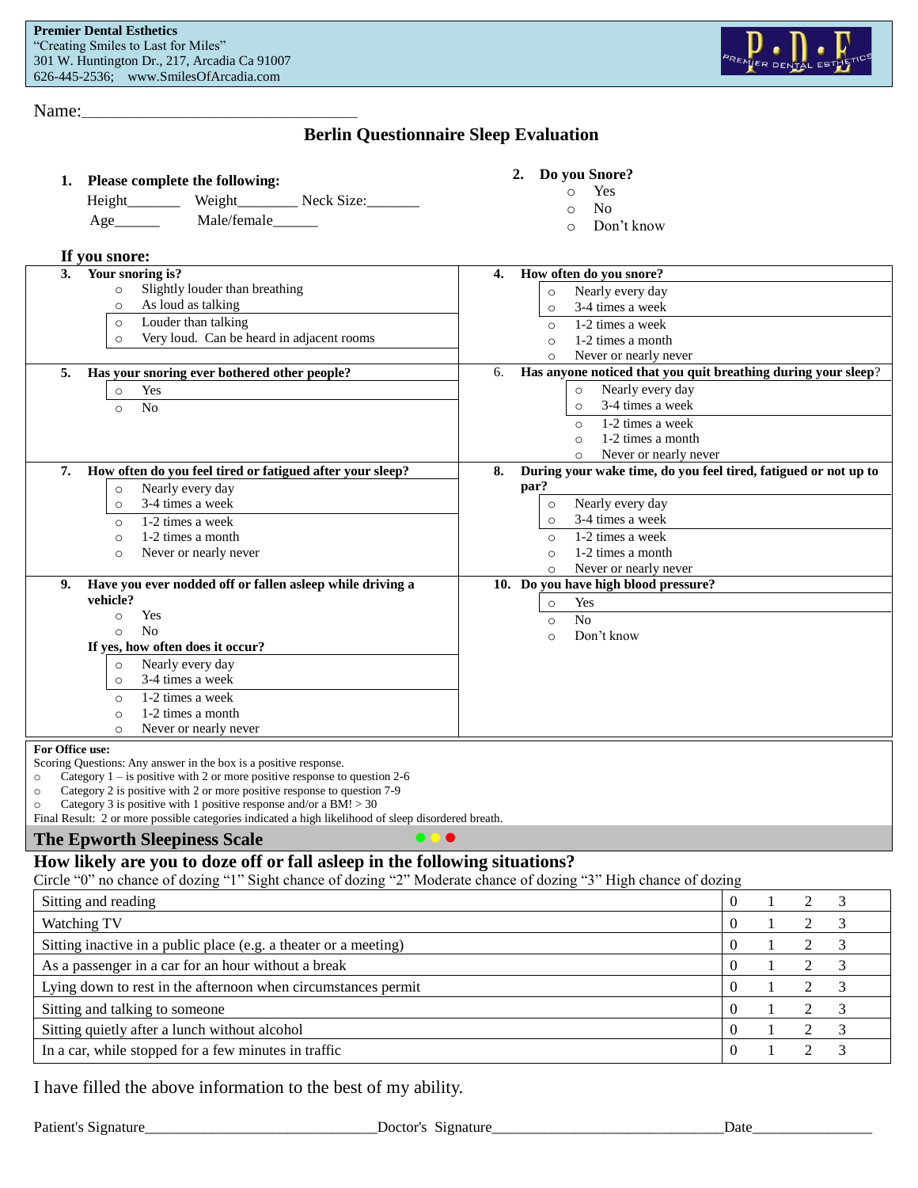

Name:\_\_\_\_\_\_\_\_\_\_\_\_\_\_\_\_\_\_\_\_\_\_\_\_\_\_\_\_\_\_\_\_\_\_\_\_\_\_\_\_\_\_\_\_\_\_

## **Berlin Questionnaire Sleep Evaluation**

| 1. | <b>Please complete the following:</b> |        |            |
|----|---------------------------------------|--------|------------|
|    | Height                                | Weight | Neck Size: |

Age\_\_\_\_\_\_ Male/female\_\_\_\_\_\_

#### **2. Do you Snore?**

- o Yes
	- o No
	- o Don't know

| As loud as talking<br>$\circ$<br>Louder than talking<br>$\circ$<br>Very loud. Can be heard in adjacent rooms<br>$\circ$                                                                                                                                                                                                                                                                                                     | Nearly every day<br>$\circ$<br>3-4 times a week<br>$\circ$<br>1-2 times a week<br>$\Omega$<br>1-2 times a month<br>$\Omega$<br>Never or nearly never<br>$\Omega$                                                                       |
|-----------------------------------------------------------------------------------------------------------------------------------------------------------------------------------------------------------------------------------------------------------------------------------------------------------------------------------------------------------------------------------------------------------------------------|----------------------------------------------------------------------------------------------------------------------------------------------------------------------------------------------------------------------------------------|
| Has your snoring ever bothered other people?<br>5.<br>Yes<br>$\circ$<br>N <sub>0</sub><br>$\circ$                                                                                                                                                                                                                                                                                                                           | Has anyone noticed that you quit breathing during your sleep?<br>6.<br>Nearly every day<br>$\circ$<br>3-4 times a week<br>$\circ$<br>1-2 times a week<br>$\Omega$<br>1-2 times a month<br>$\Omega$<br>Never or nearly never<br>$\circ$ |
| How often do you feel tired or fatigued after your sleep?<br>7.<br>Nearly every day<br>$\circ$<br>3-4 times a week<br>$\circ$<br>1-2 times a week<br>$\circ$<br>1-2 times a month<br>$\circ$<br>Never or nearly never<br>$\circ$                                                                                                                                                                                            | During your wake time, do you feel tired, fatigued or not up to<br>8.<br>par?<br>Nearly every day<br>$\circ$<br>3-4 times a week<br>$\circ$<br>1-2 times a week<br>$\circ$<br>1-2 times a month<br>$\circ$<br>Never or nearly never    |
| Have you ever nodded off or fallen asleep while driving a<br>9.<br>vehicle?<br>Yes<br>$\circ$<br>No<br>$\Omega$<br>If yes, how often does it occur?<br>Nearly every day<br>$\circ$<br>3-4 times a week<br>$\circ$<br>1-2 times a week<br>$\circ$<br>1-2 times a month<br>$\circ$<br>Never or nearly never                                                                                                                   | 10. Do you have high blood pressure?<br>Yes<br>$\circ$<br>No<br>$\circ$<br>Don't know<br>$\circ$                                                                                                                                       |
| For Office use:<br>Scoring Questions: Any answer in the box is a positive response.<br>Category $1 -$ is positive with 2 or more positive response to question 2-6<br>Category 2 is positive with 2 or more positive response to question 7-9<br>Category 3 is positive with 1 positive response and/or a BM! $>$ 30<br>Final Result: 2 or more possible categories indicated a high likelihood of sleep disordered breath. |                                                                                                                                                                                                                                        |
| $\bullet$ $\bullet$<br><b>The Epworth Sleepiness Scale</b><br>How likely are you to doze off or fall asleep in the following situations?                                                                                                                                                                                                                                                                                    |                                                                                                                                                                                                                                        |

| Sitting and reading                                              |   |  |  |
|------------------------------------------------------------------|---|--|--|
| Watching TV                                                      |   |  |  |
| Sitting inactive in a public place (e.g. a theater or a meeting) | 0 |  |  |
| As a passenger in a car for an hour without a break              |   |  |  |
| Lying down to rest in the afternoon when circumstances permit    |   |  |  |
| Sitting and talking to someone                                   |   |  |  |
| Sitting quietly after a lunch without alcohol                    |   |  |  |
| In a car, while stopped for a few minutes in traffic             |   |  |  |

I have filled the above information to the best of my ability.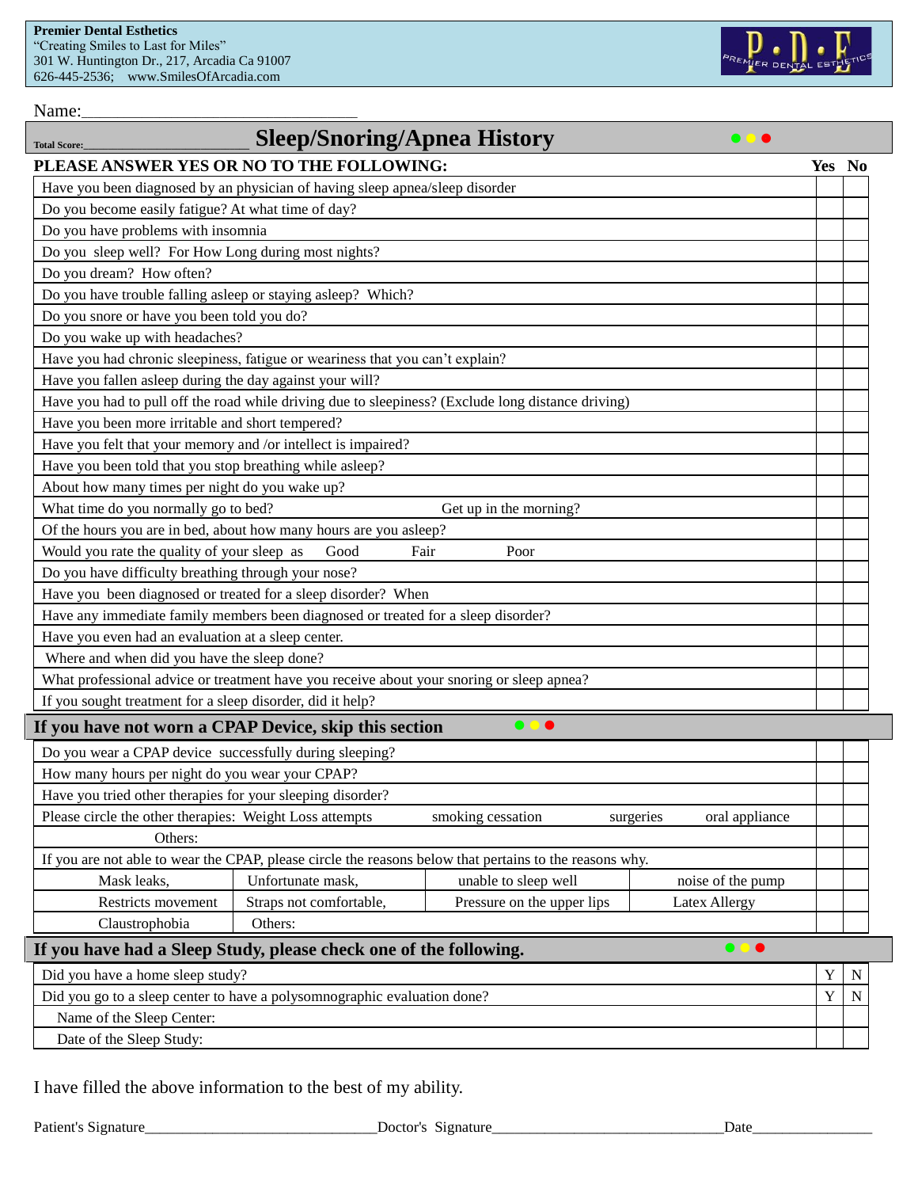

Name:

| <b>Total Score:</b>                                                                                         | <b>Sleep/Snoring/Apnea History</b>                                            |                                                                                                         |                      |             |   |
|-------------------------------------------------------------------------------------------------------------|-------------------------------------------------------------------------------|---------------------------------------------------------------------------------------------------------|----------------------|-------------|---|
| PLEASE ANSWER YES OR NO TO THE FOLLOWING:                                                                   |                                                                               |                                                                                                         |                      | Yes No      |   |
| Have you been diagnosed by an physician of having sleep apnea/sleep disorder                                |                                                                               |                                                                                                         |                      |             |   |
| Do you become easily fatigue? At what time of day?                                                          |                                                                               |                                                                                                         |                      |             |   |
| Do you have problems with insomnia                                                                          |                                                                               |                                                                                                         |                      |             |   |
| Do you sleep well? For How Long during most nights?                                                         |                                                                               |                                                                                                         |                      |             |   |
| Do you dream? How often?                                                                                    |                                                                               |                                                                                                         |                      |             |   |
| Do you have trouble falling asleep or staying asleep? Which?                                                |                                                                               |                                                                                                         |                      |             |   |
| Do you snore or have you been told you do?                                                                  |                                                                               |                                                                                                         |                      |             |   |
| Do you wake up with headaches?                                                                              |                                                                               |                                                                                                         |                      |             |   |
|                                                                                                             | Have you had chronic sleepiness, fatigue or weariness that you can't explain? |                                                                                                         |                      |             |   |
| Have you fallen asleep during the day against your will?                                                    |                                                                               |                                                                                                         |                      |             |   |
|                                                                                                             |                                                                               | Have you had to pull off the road while driving due to sleepiness? (Exclude long distance driving)      |                      |             |   |
| Have you been more irritable and short tempered?                                                            |                                                                               |                                                                                                         |                      |             |   |
| Have you felt that your memory and /or intellect is impaired?                                               |                                                                               |                                                                                                         |                      |             |   |
| Have you been told that you stop breathing while asleep?                                                    |                                                                               |                                                                                                         |                      |             |   |
| About how many times per night do you wake up?                                                              |                                                                               |                                                                                                         |                      |             |   |
| What time do you normally go to bed?                                                                        |                                                                               | Get up in the morning?                                                                                  |                      |             |   |
|                                                                                                             | Of the hours you are in bed, about how many hours are you asleep?             |                                                                                                         |                      |             |   |
| Would you rate the quality of your sleep as                                                                 | Good<br>Fair                                                                  | Poor                                                                                                    |                      |             |   |
| Do you have difficulty breathing through your nose?                                                         |                                                                               |                                                                                                         |                      |             |   |
|                                                                                                             | Have you been diagnosed or treated for a sleep disorder? When                 |                                                                                                         |                      |             |   |
| Have any immediate family members been diagnosed or treated for a sleep disorder?                           |                                                                               |                                                                                                         |                      |             |   |
| Have you even had an evaluation at a sleep center.                                                          |                                                                               |                                                                                                         |                      |             |   |
| Where and when did you have the sleep done?                                                                 |                                                                               |                                                                                                         |                      |             |   |
| What professional advice or treatment have you receive about your snoring or sleep apnea?                   |                                                                               |                                                                                                         |                      |             |   |
| If you sought treatment for a sleep disorder, did it help?                                                  |                                                                               |                                                                                                         |                      |             |   |
| If you have not worn a CPAP Device, skip this section                                                       |                                                                               | $\bullet$ $\bullet$                                                                                     |                      |             |   |
| Do you wear a CPAP device successfully during sleeping?                                                     |                                                                               |                                                                                                         |                      |             |   |
| How many hours per night do you wear your CPAP?                                                             |                                                                               |                                                                                                         |                      |             |   |
| Have you tried other therapies for your sleeping disorder?                                                  |                                                                               |                                                                                                         |                      |             |   |
| Please circle the other therapies: Weight Loss attempts<br>smoking cessation<br>oral appliance<br>surgeries |                                                                               |                                                                                                         |                      |             |   |
| Others:                                                                                                     |                                                                               |                                                                                                         |                      |             |   |
|                                                                                                             |                                                                               | If you are not able to wear the CPAP, please circle the reasons below that pertains to the reasons why. |                      |             |   |
| Mask leaks,                                                                                                 | Unfortunate mask,                                                             | unable to sleep well                                                                                    | noise of the pump    |             |   |
| Restricts movement                                                                                          | Straps not comfortable,                                                       | Pressure on the upper lips                                                                              | <b>Latex Allergy</b> |             |   |
| Claustrophobia                                                                                              | Others:                                                                       |                                                                                                         |                      |             |   |
| <b>.</b><br>If you have had a Sleep Study, please check one of the following.                               |                                                                               |                                                                                                         |                      |             |   |
| Did you have a home sleep study?                                                                            |                                                                               |                                                                                                         |                      | $\mathbf Y$ | N |
|                                                                                                             | Did you go to a sleep center to have a polysomnographic evaluation done?      |                                                                                                         |                      | $\mathbf Y$ |   |
| Name of the Sleep Center:                                                                                   |                                                                               |                                                                                                         |                      |             |   |
| Date of the Sleep Study:                                                                                    |                                                                               |                                                                                                         |                      |             |   |

I have filled the above information to the best of my ability.